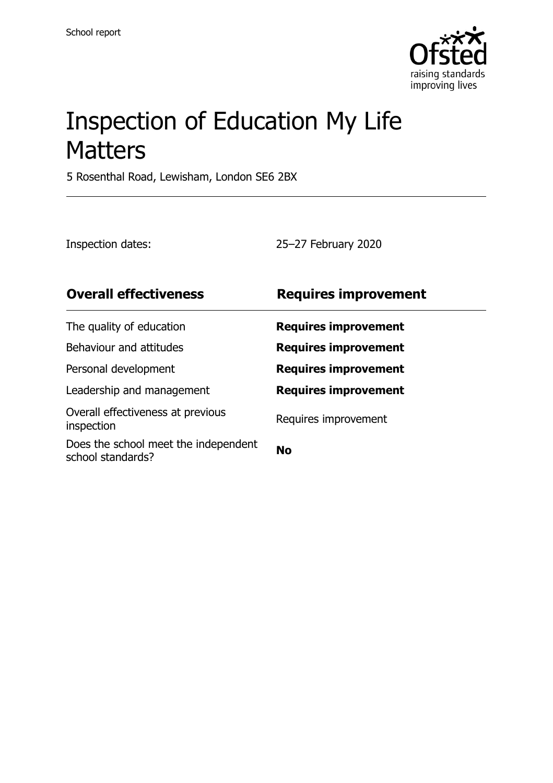

# Inspection of Education My Life **Matters**

5 Rosenthal Road, Lewisham, London SE6 2BX

Inspection dates: 25–27 February 2020

| <b>Overall effectiveness</b>                              | <b>Requires improvement</b> |
|-----------------------------------------------------------|-----------------------------|
| The quality of education                                  | <b>Requires improvement</b> |
| Behaviour and attitudes                                   | <b>Requires improvement</b> |
| Personal development                                      | <b>Requires improvement</b> |
| Leadership and management                                 | <b>Requires improvement</b> |
| Overall effectiveness at previous<br>inspection           | Requires improvement        |
| Does the school meet the independent<br>school standards? | No                          |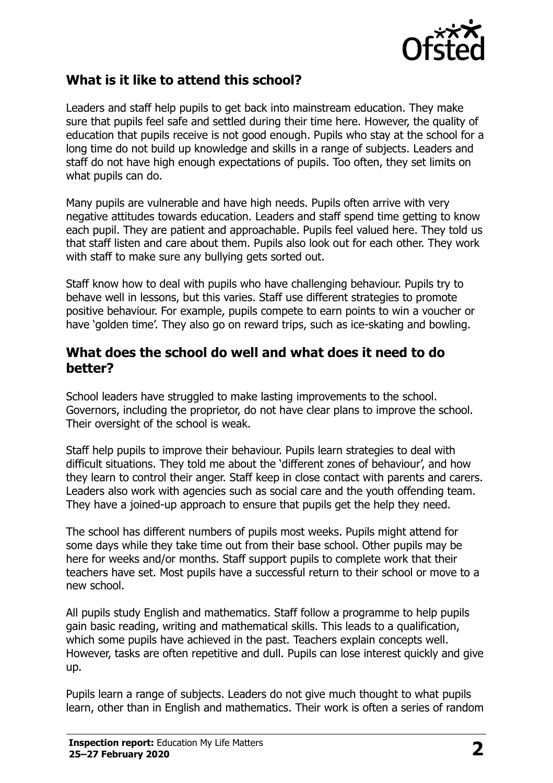

## **What is it like to attend this school?**

Leaders and staff help pupils to get back into mainstream education. They make sure that pupils feel safe and settled during their time here. However, the quality of education that pupils receive is not good enough. Pupils who stay at the school for a long time do not build up knowledge and skills in a range of subjects. Leaders and staff do not have high enough expectations of pupils. Too often, they set limits on what pupils can do.

Many pupils are vulnerable and have high needs. Pupils often arrive with very negative attitudes towards education. Leaders and staff spend time getting to know each pupil. They are patient and approachable. Pupils feel valued here. They told us that staff listen and care about them. Pupils also look out for each other. They work with staff to make sure any bullying gets sorted out.

Staff know how to deal with pupils who have challenging behaviour. Pupils try to behave well in lessons, but this varies. Staff use different strategies to promote positive behaviour. For example, pupils compete to earn points to win a voucher or have 'golden time'. They also go on reward trips, such as ice-skating and bowling.

#### **What does the school do well and what does it need to do better?**

School leaders have struggled to make lasting improvements to the school. Governors, including the proprietor, do not have clear plans to improve the school. Their oversight of the school is weak.

Staff help pupils to improve their behaviour. Pupils learn strategies to deal with difficult situations. They told me about the 'different zones of behaviour', and how they learn to control their anger. Staff keep in close contact with parents and carers. Leaders also work with agencies such as social care and the youth offending team. They have a joined-up approach to ensure that pupils get the help they need.

The school has different numbers of pupils most weeks. Pupils might attend for some days while they take time out from their base school. Other pupils may be here for weeks and/or months. Staff support pupils to complete work that their teachers have set. Most pupils have a successful return to their school or move to a new school.

All pupils study English and mathematics. Staff follow a programme to help pupils gain basic reading, writing and mathematical skills. This leads to a qualification, which some pupils have achieved in the past. Teachers explain concepts well. However, tasks are often repetitive and dull. Pupils can lose interest quickly and give up.

Pupils learn a range of subjects. Leaders do not give much thought to what pupils learn, other than in English and mathematics. Their work is often a series of random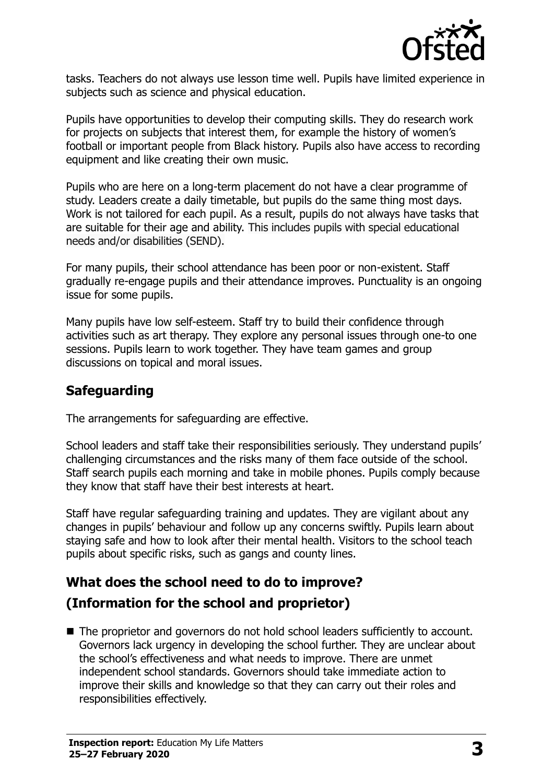

tasks. Teachers do not always use lesson time well. Pupils have limited experience in subjects such as science and physical education.

Pupils have opportunities to develop their computing skills. They do research work for projects on subjects that interest them, for example the history of women's football or important people from Black history. Pupils also have access to recording equipment and like creating their own music.

Pupils who are here on a long-term placement do not have a clear programme of study. Leaders create a daily timetable, but pupils do the same thing most days. Work is not tailored for each pupil. As a result, pupils do not always have tasks that are suitable for their age and ability. This includes pupils with special educational needs and/or disabilities (SEND).

For many pupils, their school attendance has been poor or non-existent. Staff gradually re-engage pupils and their attendance improves. Punctuality is an ongoing issue for some pupils.

Many pupils have low self-esteem. Staff try to build their confidence through activities such as art therapy. They explore any personal issues through one-to one sessions. Pupils learn to work together. They have team games and group discussions on topical and moral issues.

## **Safeguarding**

The arrangements for safeguarding are effective.

School leaders and staff take their responsibilities seriously. They understand pupils' challenging circumstances and the risks many of them face outside of the school. Staff search pupils each morning and take in mobile phones. Pupils comply because they know that staff have their best interests at heart.

Staff have regular safeguarding training and updates. They are vigilant about any changes in pupils' behaviour and follow up any concerns swiftly. Pupils learn about staying safe and how to look after their mental health. Visitors to the school teach pupils about specific risks, such as gangs and county lines.

## **What does the school need to do to improve? (Information for the school and proprietor)**

■ The proprietor and governors do not hold school leaders sufficiently to account. Governors lack urgency in developing the school further. They are unclear about the school's effectiveness and what needs to improve. There are unmet independent school standards. Governors should take immediate action to improve their skills and knowledge so that they can carry out their roles and responsibilities effectively.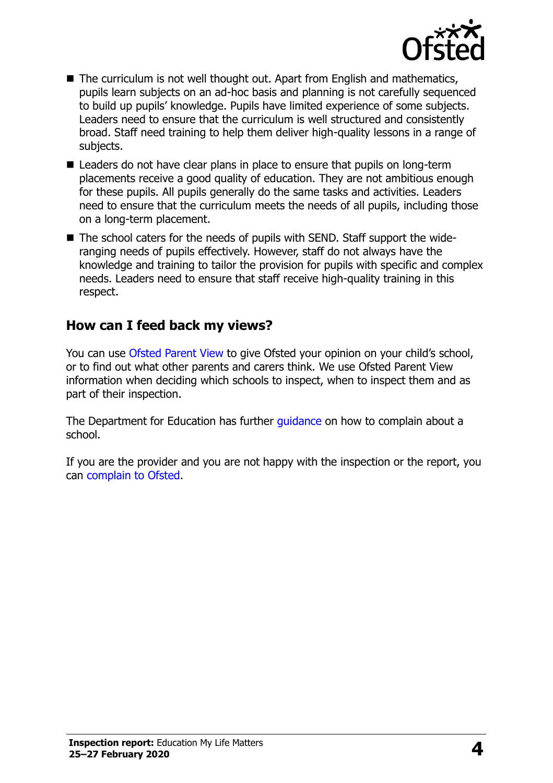

- The curriculum is not well thought out. Apart from English and mathematics, pupils learn subjects on an ad-hoc basis and planning is not carefully sequenced to build up pupils' knowledge. Pupils have limited experience of some subjects. Leaders need to ensure that the curriculum is well structured and consistently broad. Staff need training to help them deliver high-quality lessons in a range of subjects.
- Leaders do not have clear plans in place to ensure that pupils on long-term placements receive a good quality of education. They are not ambitious enough for these pupils. All pupils generally do the same tasks and activities. Leaders need to ensure that the curriculum meets the needs of all pupils, including those on a long-term placement.
- The school caters for the needs of pupils with SEND. Staff support the wideranging needs of pupils effectively. However, staff do not always have the knowledge and training to tailor the provision for pupils with specific and complex needs. Leaders need to ensure that staff receive high-quality training in this respect.

## **How can I feed back my views?**

You can use [Ofsted Parent View](http://parentview.ofsted.gov.uk/) to give Ofsted your opinion on your child's school, or to find out what other parents and carers think. We use Ofsted Parent View information when deciding which schools to inspect, when to inspect them and as part of their inspection.

The Department for Education has further quidance on how to complain about a school.

If you are the provider and you are not happy with the inspection or the report, you can [complain to Ofsted.](http://www.gov.uk/complain-ofsted-report)

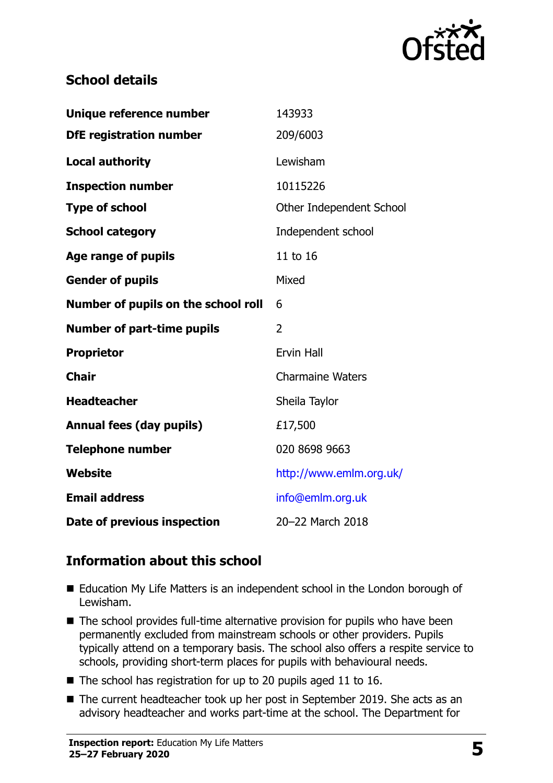

## **School details**

| Unique reference number             | 143933                   |
|-------------------------------------|--------------------------|
| <b>DfE registration number</b>      | 209/6003                 |
| <b>Local authority</b>              | Lewisham                 |
| <b>Inspection number</b>            | 10115226                 |
| <b>Type of school</b>               | Other Independent School |
| <b>School category</b>              | Independent school       |
| Age range of pupils                 | 11 to 16                 |
| <b>Gender of pupils</b>             | Mixed                    |
| Number of pupils on the school roll | 6                        |
| <b>Number of part-time pupils</b>   | $\overline{2}$           |
| <b>Proprietor</b>                   | <b>Ervin Hall</b>        |
| <b>Chair</b>                        | <b>Charmaine Waters</b>  |
| <b>Headteacher</b>                  | Sheila Taylor            |
| <b>Annual fees (day pupils)</b>     | £17,500                  |
| <b>Telephone number</b>             | 020 8698 9663            |
| <b>Website</b>                      | http://www.emlm.org.uk/  |
| <b>Email address</b>                | info@emlm.org.uk         |
| Date of previous inspection         | 20-22 March 2018         |

## **Information about this school**

- Education My Life Matters is an independent school in the London borough of Lewisham.
- The school provides full-time alternative provision for pupils who have been permanently excluded from mainstream schools or other providers. Pupils typically attend on a temporary basis. The school also offers a respite service to schools, providing short-term places for pupils with behavioural needs.
- $\blacksquare$  The school has registration for up to 20 pupils aged 11 to 16.
- The current headteacher took up her post in September 2019. She acts as an advisory headteacher and works part-time at the school. The Department for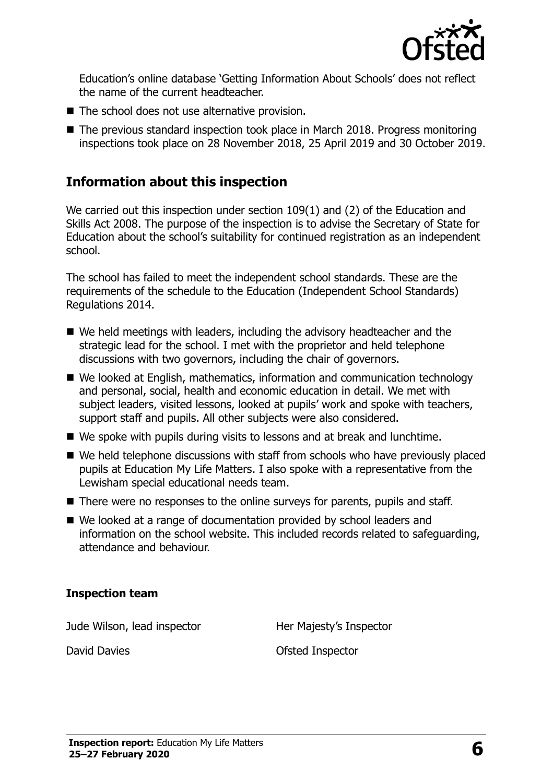

Education's online database 'Getting Information About Schools' does not reflect the name of the current headteacher.

- The school does not use alternative provision.
- The previous standard inspection took place in March 2018. Progress monitoring inspections took place on 28 November 2018, 25 April 2019 and 30 October 2019.

#### **Information about this inspection**

We carried out this inspection under section 109(1) and (2) of the Education and Skills Act 2008. The purpose of the inspection is to advise the Secretary of State for Education about the school's suitability for continued registration as an independent school.

The school has failed to meet the independent school standards. These are the requirements of the schedule to the Education (Independent School Standards) Regulations 2014.

- We held meetings with leaders, including the advisory headteacher and the strategic lead for the school. I met with the proprietor and held telephone discussions with two governors, including the chair of governors.
- We looked at English, mathematics, information and communication technology and personal, social, health and economic education in detail. We met with subject leaders, visited lessons, looked at pupils' work and spoke with teachers, support staff and pupils. All other subjects were also considered.
- We spoke with pupils during visits to lessons and at break and lunchtime.
- We held telephone discussions with staff from schools who have previously placed pupils at Education My Life Matters. I also spoke with a representative from the Lewisham special educational needs team.
- There were no responses to the online surveys for parents, pupils and staff.
- We looked at a range of documentation provided by school leaders and information on the school website. This included records related to safeguarding, attendance and behaviour.

#### **Inspection team**

Jude Wilson, lead inspector **Her Majesty's Inspector** 

David Davies **David Davies David Davies David Davies Ofsted Inspector**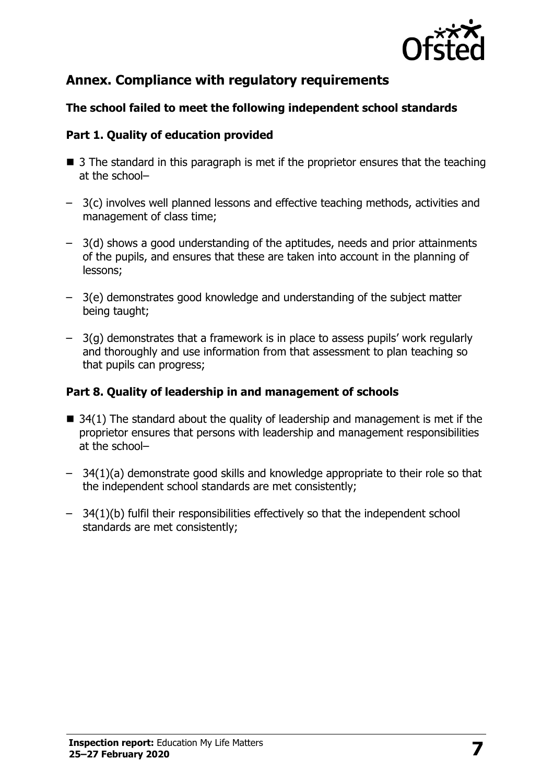

## **Annex. Compliance with regulatory requirements**

#### **The school failed to meet the following independent school standards**

#### **Part 1. Quality of education provided**

- 3 The standard in this paragraph is met if the proprietor ensures that the teaching at the school–
- 3(c) involves well planned lessons and effective teaching methods, activities and management of class time;
- 3(d) shows a good understanding of the aptitudes, needs and prior attainments of the pupils, and ensures that these are taken into account in the planning of lessons;
- 3(e) demonstrates good knowledge and understanding of the subject matter being taught;
- 3(g) demonstrates that a framework is in place to assess pupils' work regularly and thoroughly and use information from that assessment to plan teaching so that pupils can progress;

#### **Part 8. Quality of leadership in and management of schools**

- $\blacksquare$  34(1) The standard about the quality of leadership and management is met if the proprietor ensures that persons with leadership and management responsibilities at the school–
- 34(1)(a) demonstrate good skills and knowledge appropriate to their role so that the independent school standards are met consistently;
- 34(1)(b) fulfil their responsibilities effectively so that the independent school standards are met consistently;